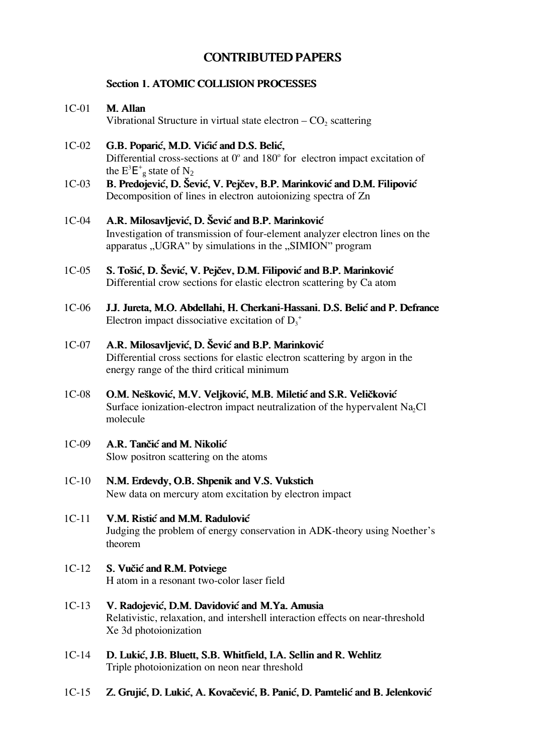# **CONTRIBUTED PAPERS**

## **Section 1. ATOMIC COLLISION PROCESSES**

*M. Allan 1C-01*

*Vibrational Structure in virtual state electron – CO<sup>2</sup> scattering*

- 1C-02 **G.B. Poparić, M.D. Vićić and D.S. Belić,** *Differential cross-sections at 0<sup>o</sup> and 180<sup>o</sup> for electron impact excitation of* the  $E^3E^+_{\text{g}}$  state of  $N_2$
- B. Predojević, D. Šević, V. Pejčev, B.P. Marinković and D.M. Filipović *Decomposition of lines in electron autoionizing spectra of Zn 1C-03*
- A.R. Milosavljević, D. Šević and B.P. Marinković *Investigation of transmission of four-element analyzer electron lines on the apparatus "UGRA" by simulations in the "SIMION" program 1C-04*
- S. Tošić, D. Šević, V. Pejčev, D.M. Filipović and B.P. Marinković *Differential crow sections for elastic electron scattering by Ca atom 1C-05*
- *J.J. Jureta, M.O. Abdellahi, H. Cherkani-Hassani. D.S. Beli} and P. Defrance Electron impact dissociative excitation of D<sup>3</sup> + 1C-06*

## A.R. Milosavljević, D. Šević and B.P. Marinković *Differential cross sections for elastic electron scattering by argon in the energy range of the third critical minimum 1C-07*

- **O.M. Nešković, M.V. Veljković, M.B. Miletić and S.R. Veličković** *Surface ionization-electron impact neutralization of the hypervalent Na2Cl molecule 1C-08*
- A.R. Tančić and M. Nikolić *Slow positron scattering on the atoms 1C-09*
- *N.M. Erdevdy, O.B. Shpenik and V.S. Vukstich New data on mercury atom excitation by electron impact 1C-10*
- *V.M. Risti} and M.M. Radulovi} Judging the problem of energy conservation in ADK-theory using Noether's theorem 1C-11*
- **S. Vučić and R.M. Potviege** *H atom in a resonant two-color laser field 1C-12*
- 1C-13 **V. Radojević, D.M. Davidović and M.Ya. Amusia** *Relativistic, relaxation, and intershell interaction effects on near-threshold Xe 3d photoionization*
- *D. Luki}, J.B. Bluett, S.B. Whitfield, I.A. Sellin and R. Wehlitz Triple photoionization on neon near threshold 1C-14*
- 1C-15 **Z. Grujić, D. Lukić, A. Kovačević, B. Panić, D. Pamtelić and B. Jelenković**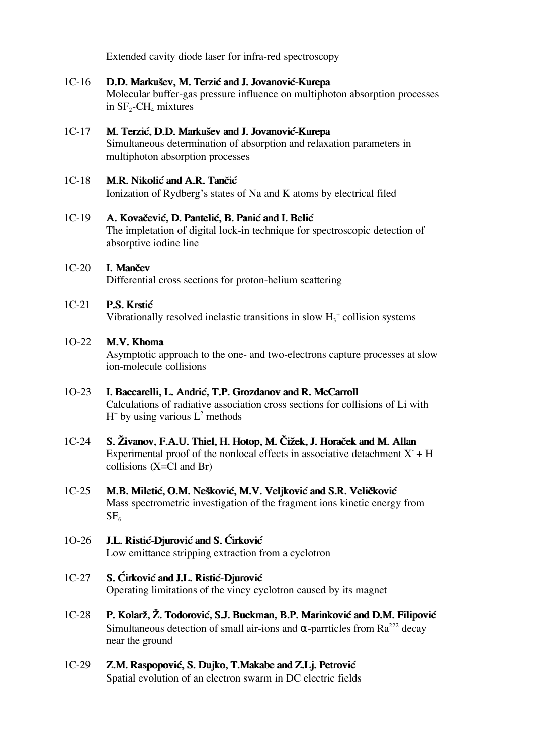*Extended cavity diode laser for infra-red spectroscopy*

- *D.D. Marku{ev, M. Terzi} and J. Jovanovi}-Kurepa Molecular buffer-gas pressure influence on multiphoton absorption processes in SF<sup>2</sup> -CH<sup>4</sup> mixtures 1C-16*
- 1C-17 **M. Terzić, D.D. Markušev and J. Jovanović-Kurepa** *Simultaneous determination of absorption and relaxation parameters in multiphoton absorption processes*
- *M.R. Nikolić and A.R. Tančić Ionization of Rydberg's states of Na and K atoms by electrical filed 1C-18*

#### A. Kovačević, D. Pantelić, B. Panić and I. Belić *1C-19*

*The impletation of digital lock-in technique for spectroscopic detection of absorptive iodine line*

#### *I. Man~ev 1C-20*

*Differential cross sections for proton-helium scattering*

#### *P.S. Krsti} 1C-21*

*Vibrationally resolved inelastic transitions in slow H<sup>3</sup> + collision systems*

#### *M.V. Khoma 1O-22*

*Asymptotic approach to the one- and two-electrons capture processes at slow ion-molecule collisions*

#### *I. Baccarelli, L. Andri}, T.P. Grozdanov and R. McCarroll 1O-23*

*Calculations of radiative association cross sections for collisions of Li with H + by using various L<sup>2</sup> methods*

- *S. @ivanov, F.A.U. Thiel, H. Hotop, M. ^i`ek, J. Hora~ek and M. Allan Experimental proof of the nonlocal effects in associative detachment X- + H collisions (X=Cl and Br) 1C-24*
- *M.B. Miletić, O.M. Nešković, M.V. Veljković and S.R. Veličković Mass spectrometric investigation of the fragment ions kinetic energy from SF<sup>6</sup> 1C-25*

#### **J.L. Ristić-Djurović and S. Cirković** *1O-26*

*Low emittance stripping extraction from a cyclotron*

*S. ]irkovi} and J.L. Risti}-Djurovi} 1C-27*

*Operating limitations of the vincy cyclotron caused by its magnet*

- P. Kolarž, Ž. Todorović, S.J. Buckman, B.P. Marinković and D.M. Filipović *Simultaneous detection of small air-ions and* α*-parrticles from Ra<sup>222</sup> decay near the ground 1C-28*
- 1C-29 **Z.M. Raspopović, S. Dujko, T.Makabe and Z.Lj. Petrović** *Spatial evolution of an electron swarm in DC electric fields*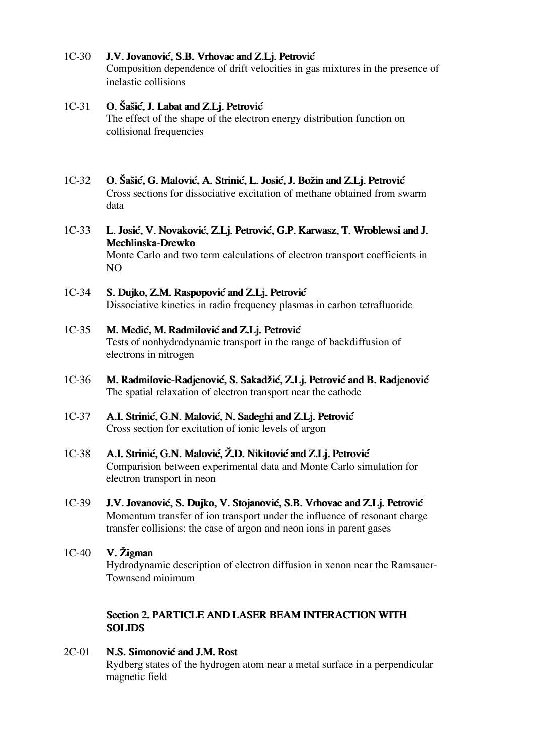#### J.V. Jovanović, S.B. Vrhovac and Z.Lj. Petrović *1C-30*

*Composition dependence of drift velocities in gas mixtures in the presence of inelastic collisions*

#### *O. [a{i}, J. Labat and Z.Lj. Petrovi} 1C-31*

*The effect of the shape of the electron energy distribution function on collisional frequencies*

*O. [a{i}, G. Malovi}, A. Strini}, L. Josi}, J. Bo`in and Z.Lj. Petrovi} Cross sections for dissociative excitation of methane obtained from swarm data 1C-32*

### L. Josić, V. Novaković, Z.Lj. Petrović, G.P. Karwasz, T. Wroblewsi and J. *Mechlinska-Drewko 1C-33*

*Monte Carlo and two term calculations of electron transport coefficients in NO*

- *S. Dujko, Z.M. Raspopovi} and Z.Lj. Petrovi} Dissociative kinetics in radio frequency plasmas in carbon tetrafluoride 1C-34*
- *M. Medić, M. Radmilović and Z.Lj. Petrović Tests of nonhydrodynamic transport in the range of backdiffusion of electrons in nitrogen 1C-35*
- *M. Radmilovic-Radjenovi}, S. Sakad`i}, Z.Lj. Petrovi} and B. Radjenovi} The spatial relaxation of electron transport near the cathode 1C-36*
- A.I. Strinić, G.N. Malović, N. Sadeghi and Z.Lj. Petrović *Cross section for excitation of ionic levels of argon 1C-37*
- A.I. Strinić, G.N. Malović, Ž.D. Nikitović and Z.Lj. Petrović *Comparision between experimental data and Monte Carlo simulation for electron transport in neon 1C-38*
- J.V. Jovanović, S. Dujko, V. Stojanović, S.B. Vrhovac and Z.Lj. Petrović *Momentum transfer of ion transport under the influence of resonant charge transfer collisions: the case of argon and neon ions in parent gases 1C-39*

# *1C-40 V. @igman Hydrodynamic description of electron diffusion in xenon near the Ramsauer-Townsend minimum*

## **Section 2. PARTICLE AND LASER BEAM INTERACTION WITH SOLIDS**

*N.S. Simonović and J.M. Rost Rydberg states of the hydrogen atom near a metal surface in a perpendicular magnetic field 2C-01*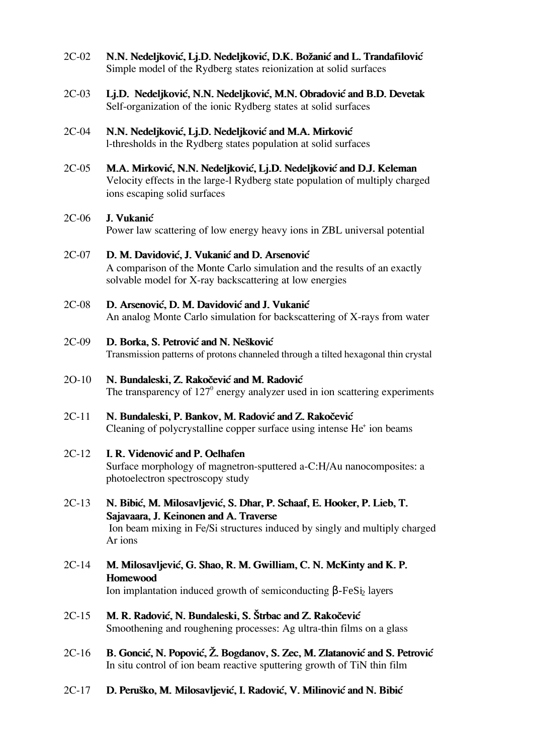- *N.N. Nedeljković, Lj.D. Nedeljković, D.K. Božanić and L. Trandafilović Simple model of the Rydberg states reionization at solid surfaces 2C-02*
- Lj.D. Nedeljković, N.N. Nedeljković, M.N. Obradović and B.D. Devetak *Self-organization of the ionic Rydberg states at solid surfaces 2C-03*
- *N.N. Nedeljković, Lj.D. Nedeljković and M.A. Mirković l-thresholds in the Rydberg states population at solid surfaces 2C-04*
- *M.A. Mirković, N.N. Nedeljković, Lj.D. Nedeljković and D.J. Keleman Velocity effects in the large-l Rydberg state population of multiply charged ions escaping solid surfaces 2C-05*

#### *J. Vukani} 2C-06*

*Power law scattering of low energy heavy ions in ZBL universal potential*

#### D. M. Davidović, J. Vukanić and D. Arsenović *2C-07*

*A comparison of the Monte Carlo simulation and the results of an exactly solvable model for X-ray backscattering at low energies*

#### *D. Arsenovi}, D. M. Davidovi} and J. Vukani} 2C-08*

*An analog Monte Carlo simulation for backscattering of X-rays from water*

**D. Borka, S. Petrović and N. Nešković** *2C-09*

*Transmission patterns of protons channeled through a tilted hexagonal thin crystal*

#### *N. Bundaleski, Z. Rakočević and M. Radović 2O-10*

The transparency of 127<sup>0</sup> energy analyzer used in ion scattering experiments

### *N. Bundaleski, P. Bankov, M. Radovi} and Z. Rako~evi} Cleaning of polycrystalline copper surface using intense He<sup>+</sup> ion beams 2C-11*

#### *I. R. Videnovi} and P. Oelhafen 2C-12*

*Surface morphology of magnetron-sputtered a-C:H/Au nanocomposites: a photoelectron spectroscopy study*

- *N. Bibi}, M. Milosavljevi}, S. Dhar, P. Schaaf, E. Hooker, P. Lieb, T. Sajavaara, J. Keinonen and A. Traverse Ion beam mixing in Fe/Si structures induced by singly and multiply charged Ar ions 2C-13*
- *M. Milosavljevi}, G. Shao, R. M. Gwilliam, C. N. McKinty and K. P. Homewood Ion implantation induced growth of semiconducting β-FeSi<sub>2</sub> layers 2C-14*
- *M. R. Radović, N. Bundaleski, S. Štrbac and Z. Rakočević Smoothening and roughening processes: Ag ultra-thin films on a glass 2C-15*
- B. Goncić, N. Popović, Ž. Bogdanov, S. Zec, M. Zlatanović and S. Petrović *In situ control of ion beam reactive sputtering growth of TiN thin film 2C-16*
- 2C-17 **D. Peruško, M. Milosavljević, I. Radović, V. Milinović and N. Bibić**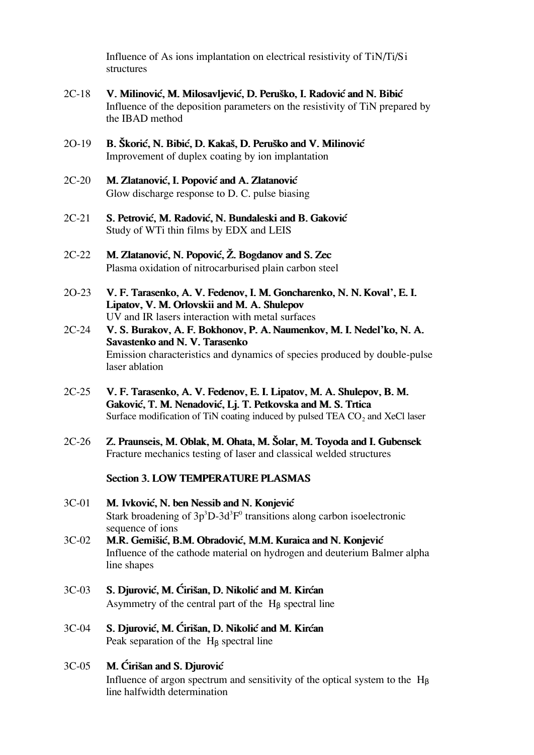*Influence of As ions implantation on electrical resistivity of TiN/Ti/Si structures*

- V. Milinović, M. Milosavljević, D. Peruško, I. Radović and N. Bibić *Influence of the deposition parameters on the resistivity of TiN prepared by the IBAD method 2C-18*
- B. Škorić, N. Bibić, D. Kakaš, D. Peruško and V. Milinović *Improvement of duplex coating by ion implantation 2O-19*
- *M. Zlatanović, I. Popović and A. Zlatanović Glow discharge response to D. C. pulse biasing 2C-20*
- *S. Petrovi}, M. Radovi}, N. Bundaleski and B. Gakovi} Study of WTi thin films by EDX and LEIS 2C-21*
- 2C-22 **M. Zlatanović, N. Popović, Ž. Bogdanov and S. Zec** *Plasma oxidation of nitrocarburised plain carbon steel*
- *V. F. Tarasenko, A. V. Fedenov, I. M. Goncharenko, N. N. Koval', E. I. Lipatov, V. M. Orlovskii and M. A. Shulepov 2O-23 UV and IR lasers interaction with metal surfaces*
- *V. S. Burakov, A. F. Bokhonov, P. A. Naumenkov, M. I. Nedel'ko, N. A. Savastenko and N. V. Tarasenko Emission characteristics and dynamics of species produced by double-pulse laser ablation 2C-24*
- *V. F. Tarasenko, A. V. Fedenov, E. I. Lipatov, M. A. Shulepov, B. M.* Gaković, T. M. Nenadović, Lj. T. Petkovska and M. S. Trtica *Surface modification of TiN coating induced by pulsed TEA CO<sup>2</sup> and XeCl laser 2C-25*
- *2C-26 Z. Praunseis, M. Oblak, M. Ohata, M. [olar, M. Toyoda and I. Gubensek Fracture mechanics testing of laser and classical welded structures*

## **Section 3. LOW TEMPERATURE PLASMAS**

- *3C-01 M. Ivkovi}, N. ben Nessib and N. Konjevi} Stark broadening of 3p<sup>3</sup>D-3d<sup>3</sup> F 0 transitions along carbon isoelectronic sequence of ions*
- *M.R. Gemi{i}, B.M. Obradovi}, M.M. Kuraica and N. Konjevi} Influence of the cathode material on hydrogen and deuterium Balmer alpha line shapes 3C-02*
- *S. Djurović, M. Ćirišan, D. Nikolić and M. Kirćan Asymmetry of the central part of the H*β *spectral line 3C-03*
- *S. Djurović, M. Ćirišan, D. Nikolić and M. Kirćan Peak separation of the H*β *spectral line 3C-04*

## 3C-05 **M. Cirišan and S. Djurovic**

*Influence of argon spectrum and sensitivity of the optical system to the H<sub>B</sub> line halfwidth determination*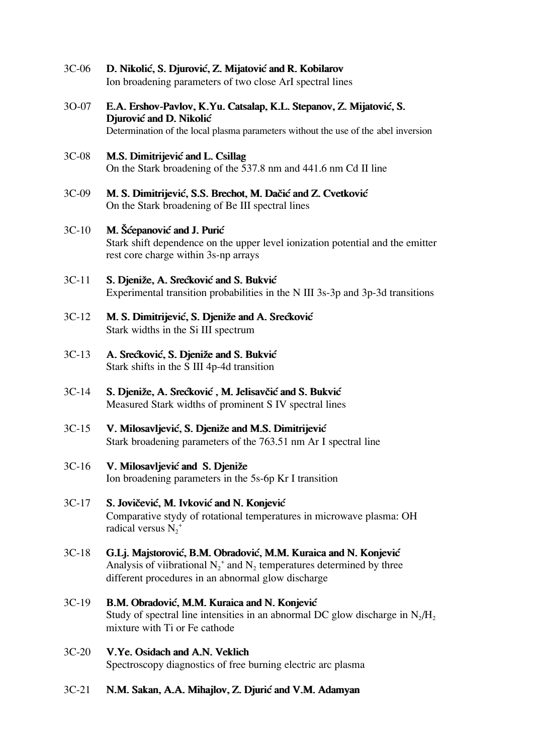- *D. Nikoli}, S. Djurovi}, Z. Mijatovi} and R. Kobilarov Ion broadening parameters of two close ArI spectral lines 3C-06*
- E.A. Ershov-Pavlov, K.Yu. Catsalap, K.L. Stepanov, Z. Mijatović, S. **Djurović and D. Nikolić** *Determination of the local plasma parameters without the use of the abel inversion 3O-07*
- *M.S. Dimitrijevi} and L. Csillag On the Stark broadening of the 537.8 nm and 441.6 nm Cd II line 3C-08*
- *M. S. Dimitrijević, S.S. Brechot, M. Dačić and Z. Cvetković On the Stark broadening of Be III spectral lines 3C-09*
- *M. [}epanovi} and J. Puri} Stark shift dependence on the upper level ionization potential and the emitter rest core charge within 3s-np arrays 3C-10*
- *S. Djeniže, A. Srećković and S. Bukvić Experimental transition probabilities in the N III 3s-3p and 3p-3d transitions 3C-11*
- *M. S. Dimitrijević, S. Djeniže and A. Srećković Stark widths in the Si III spectrum 3C-12*
- A. Srećković, S. Djeniže and S. Bukvić *Stark shifts in the S III 4p-4d transition 3C-13*
- S. Djeniže, A. Srećković, M. Jelisavčić and S. Bukvić *Measured Stark widths of prominent S IV spectral lines 3C-14*
- *V. Milosavljevi}, S. Djeni`e and M.S. Dimitrijevi} Stark broadening parameters of the 763.51 nm Ar I spectral line 3C-15*

#### *V. Milosavljevi} and S. Djeni`e 3C-16*

*Ion broadening parameters in the 5s-6p Kr I transition*

- S. Jovičević, M. Ivković and N. Konjević *Comparative stydy of rotational temperatures in microwave plasma: OH radical versus N<sup>2</sup> + 3C-17*
- G.Lj. Majstorović, B.M. Obradović, M.M. Kuraica and N. Konjević *Analysis of viibrational N<sup>2</sup> + and N<sup>2</sup> temperatures determined by three different procedures in an abnormal glow discharge 3C-18*
- **B.M. Obradović, M.M. Kuraica and N. Konjević** Study of spectral line intensities in an abnormal DC glow discharge in  $N_2/H_2$ *mixture with Ti or Fe cathode 3C-19*
- *V.Ye. Osidach and A.N. Veklich Spectroscopy diagnostics of free burning electric arc plasma 3C-20*
- *3C-21 N.M. Sakan, A.A. Mihajlov, Z. Djuri} and V.M. Adamyan*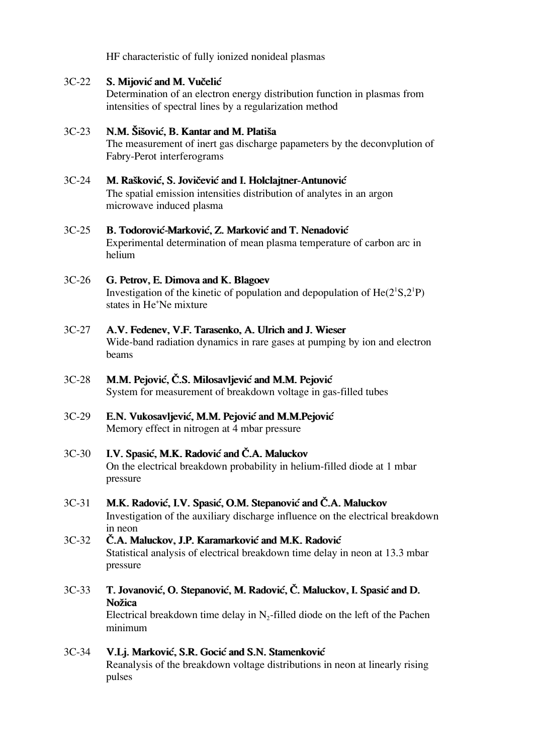*HF characteristic of fully ionized nonideal plasmas*

#### S. Mijović and M. Vučelić *3C-22*

*Determination of an electron energy distribution function in plasmas from intensities of spectral lines by a regularization method*

#### *N.M. Šišović, B. Kantar and M. Platiša 3C-23*

*The measurement of inert gas discharge papameters by the deconvplution of Fabry-Perot interferograms*

#### *M. Rašković, S. Jovičević and I. Holclajtner-Antunović 3C-24*

*The spatial emission intensities distribution of analytes in an argon microwave induced plasma*

#### B. Todorović-Marković, Z. Marković and T. Nenadović *3C-25*

*Experimental determination of mean plasma temperature of carbon arc in helium*

#### *G. Petrov, E. Dimova and K. Blagoev 3C-26*

Investigation of the kinetic of population and depopulation of  $He(2^1S,2^1P)$ *states in He<sup>+</sup>Ne mixture*

#### *A.V. Fedenev, V.F. Tarasenko, A. Ulrich and J. Wieser 3C-27*

*Wide-band radiation dynamics in rare gases at pumping by ion and electron beams*

### *M.M. Pejović, Č.S. Milosavljević and M.M. Pejović System for measurement of breakdown voltage in gas-filled tubes 3C-28*

### *E.N. Vukosavljevi}, M.M. Pejovi} and M.M.Pejovi} Memory effect in nitrogen at 4 mbar pressure 3C-29*

### I.V. Spasić, M.K. Radović and Č.A. Maluckov *On the electrical breakdown probability in helium-filled diode at 1 mbar pressure 3C-30*

## 3C-31 **M.K. Radović, I.V. Spasić, O.M. Stepanović and Č.A. Maluckov** *Investigation of the auxiliary discharge influence on the electrical breakdown in neon*

## *^.A. Maluckov, J.P. Karamarkovi} and M.K. Radovi} Statistical analysis of electrical breakdown time delay in neon at 13.3 mbar pressure 3C-32*

## *T. Jovanovi}, O. Stepanovi}, M. Radovi}, ^. Maluckov, I. Spasi} and D. No`ica Electrical breakdown time delay in N<sup>2</sup> -filled diode on the left of the Pachen minimum 3C-33*

## V.Lj. Marković, S.R. Gocić and S.N. Stamenković *Reanalysis of the breakdown voltage distributions in neon at linearly rising pulses 3C-34*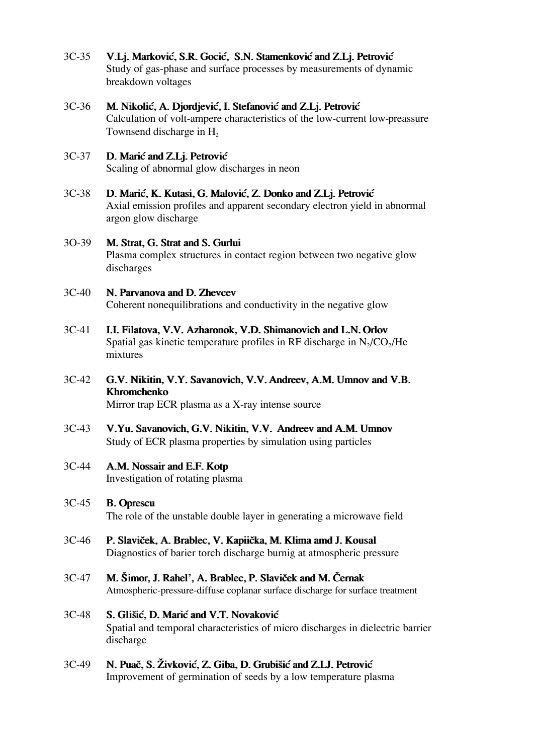- V.Lj. Marković, S.R. Gocić, S.N. Stamenković and Z.Lj. Petrović *Study of gas-phase and surface processes by measurements of dynamic breakdown voltages 3C-35*
- *M. Nikolić, A. Djordjević, I. Stefanović and Z.Lj. Petrović Calculation of volt-ampere characteristics of the low-current low-preassure Townsend discharge in H<sup>2</sup> 3C-36*
- *D. Mari} and Z.Lj. Petrovi} Scaling of abnormal glow discharges in neon 3C-37*
- *D. Mari}, K. Kutasi, G. Malovi}, Z. Donko and Z.Lj. Petrovi} Axial emission profiles and apparent secondary electron yield in abnormal argon glow discharge 3C-38*
- *M. Strat, G. Strat and S. Gurlui Plasma complex structures in contact region between two negative glow discharges 3O-39*
- *N. Parvanova and D. Zhevcev Coherent nonequilibrations and conductivity in the negative glow 3C-40*
- *I.I. Filatova, V.V. Azharonok, V.D. Shimanovich and L.N. Orlov Spatial gas kinetic temperature profiles in RF discharge in N<sup>2</sup> /CO<sup>2</sup> /He mixtures 3C-41*
- *G.V. Nikitin, V.Y. Savanovich, V.V. Andreev, A.M. Umnov and V.B. Khromchenko Mirror trap ECR plasma as a X-ray intense source 3C-42*
- *V.Yu. Savanovich, G.V. Nikitin, V.V. Andreev and A.M. Umnov Study of ECR plasma properties by simulation using particles 3C-43*
- *A.M. Nossair and E.F. Kotp Investigation of rotating plasma 3C-44*
- *B. Oprescu The role of the unstable double layer in generating a microwave field 3C-45*
- P. Slaviček, A. Brablec, V. Kapiička, M. Klima amd J. Kousal *Diagnostics of barier torch discharge burnig at atmospheric pressure 3C-46*
- 3C-47 **M. Šimor, J. Rahel', A. Brablec, P. Slaviček and M. Černak** *Atmospheric-pressure-diffuse coplanar surface discharge for surface treatment*
- *S. Gli{i}, D. Mari} and V.T. Novakovi} Spatial and temporal characteristics of micro discharges in dielectric barrier discharge 3C-48*
- *N. Puač, S. Živković, Z. Giba, D. Grubišić and Z.LJ. Petrović Improvement of germination of seeds by a low temperature plasma 3C-49*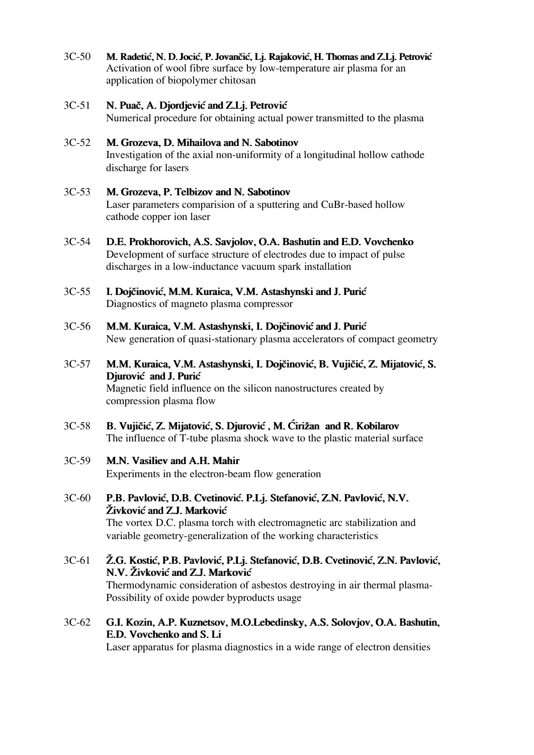- 3C-50 **M. Radetić, N. D. Jocić, P. Jovančić, Lj. Rajaković, H. Thomas and Z.Lj. Petrović** *Activation of wool fibre surface by low-temperature air plasma for an application of biopolymer chitosan*
- *N. Puač, A. Djordjević and Z.Lj. Petrović Numerical procedure for obtaining actual power transmitted to the plasma 3C-51*
- *M. Grozeva, D. Mihailova and N. Sabotinov Investigation of the axial non-uniformity of a longitudinal hollow cathode discharge for lasers 3C-52*
- *3C-53 M. Grozeva, P. Telbizov and N. Sabotinov Laser parameters comparision of a sputtering and CuBr-based hollow cathode copper ion laser*
- *3C-54 D.E. Prokhorovich, A.S. Savjolov, O.A. Bashutin and E.D. Vovchenko Development of surface structure of electrodes due to impact of pulse discharges in a low-inductance vacuum spark installation*
- 3C-55 **I. Dojčinović, M.M. Kuraica, V.M. Astashynski and J. Purić** *Diagnostics of magneto plasma compressor*
- 3C-56 **M.M. Kuraica, V.M. Astashynski, I. Dojčinović and J. Purić** *New generation of quasi-stationary plasma accelerators of compact geometry*
- *M.M. Kuraica, V.M. Astashynski, I. Dojčinović, B. Vujičić, Z. Mijatović, S. Djurović* and J. Purić *Magnetic field influence on the silicon nanostructures created by compression plasma flow 3C-57*
- 3C-58 **B. Vujičić, Z. Mijatović, S. Djurović, M. Ćirižan and R. Kobilarov** *The influence of T-tube plasma shock wave to the plastic material surface*

# *3C-59 M.N. Vasiliev and A.H. Mahir*

*Experiments in the electron-beam flow generation*

- P.B. Pavlović, D.B. Cvetinović. P.Lj. Stefanović, Z.N. Pavlović, N.V.  $\check{Z}$ *ivković and Z.J. Marković The vortex D.C. plasma torch with electromagnetic arc stabilization and variable geometry-generalization of the working characteristics 3C-60*
- $\check{Z}$ .G. Kostić, P.B. Pavlović, P.Lj. Stefanović, D.B. Cvetinović, Z.N. Pavlović, *N.V. @ivkovi} and Z.J. Markovi} Thermodynamic consideration of asbestos destroying in air thermal plasma-Possibility of oxide powder byproducts usage 3C-61*
- *3C-62 G.I. Kozin, A.P. Kuznetsov, M.O.Lebedinsky, A.S. Solovjov, O.A. Bashutin, E.D. Vovchenko and S. Li*

*Laser apparatus for plasma diagnostics in a wide range of electron densities*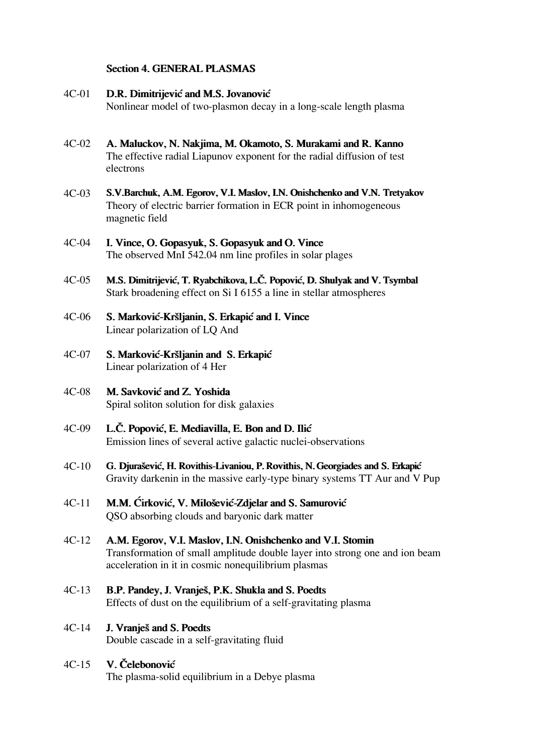## **Section 4. GENERAL PLASMAS**

#### **D.R. Dimitrijević and M.S. Jovanović** *4C-01*

*Nonlinear model of two-plasmon decay in a long-scale length plasma*

- *A. Maluckov, N. Nakjima, M. Okamoto, S. Murakami and R. Kanno The effective radial Liapunov exponent for the radial diffusion of test electrons 4C-02*
- *S.V.Barchuk, A.M. Egorov, V.I. Maslov, I.N. Onishchenko and V.N. Tretyakov Theory of electric barrier formation in ECR point in inhomogeneous magnetic field 4C-03*
- *I. Vince, O. Gopasyuk, S. Gopasyuk and O. Vince The observed MnI 542.04 nm line profiles in solar plages 4C-04*
- *M.S. Dimitrijevi}, T. Ryabchikova, L.^. Popovi}, D. Shulyak and V. Tsymbal Stark broadening effect on Si I 6155 a line in stellar atmospheres 4C-05*
- *S. Markovi}-Kr{ljanin, S. Erkapi} and I. Vince Linear polarization of LQ And 4C-06*
- *S. Markovi}-Kr{ljanin and S. Erkapi} Linear polarization of 4 Her 4C-07*
- *M. Savkovi} and Z. Yoshida Spiral soliton solution for disk galaxies 4C-08*
- *L.^. Popovi}, E. Mediavilla, E. Bon and D. Ili} Emission lines of several active galactic nuclei-observations 4C-09*
- *G. Djura{evi}, H. Rovithis-Livaniou, P. Rovithis, N. Georgiades and S. Erkapi} Gravity darkenin in the massive early-type binary systems TT Aur and V Pup 4C-10*
- *M.M. Ćirković, V. Milošević-Zdjelar and S. Samurović QSO absorbing clouds and baryonic dark matter 4C-11*
- *4C-12 A.M. Egorov, V.I. Maslov, I.N. Onishchenko and V.I. Stomin Transformation of small amplitude double layer into strong one and ion beam acceleration in it in cosmic nonequilibrium plasmas*
- *4C-13 B.P. Pandey, J. Vranje{, P.K. Shukla and S. Poedts Effects of dust on the equilibrium of a self-gravitating plasma*
- *J. Vranje{ and S. Poedts Double cascade in a self-gravitating fluid 4C-14*

#### *V. ^elebonovi} 4C-15*

*The plasma-solid equilibrium in a Debye plasma*